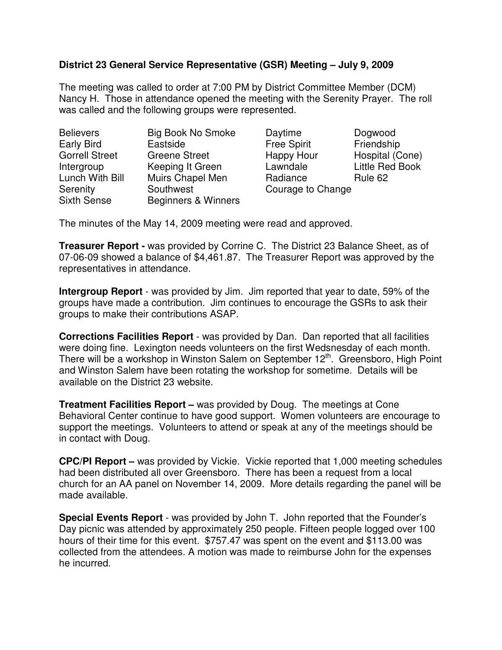## **District 23 General Service Representative (GSR) Meeting – July 9, 2009**

The meeting was called to order at 7:00 PM by District Committee Member (DCM) Nancy H. Those in attendance opened the meeting with the Serenity Prayer. The roll was called and the following groups were represented.

| <b>Believers</b>      | <b>Big Book No Smoke</b> | Daytime            | Dogwood                |
|-----------------------|--------------------------|--------------------|------------------------|
| Early Bird            | Eastside                 | <b>Free Spirit</b> | Friendship             |
| <b>Gorrell Street</b> | <b>Greene Street</b>     | Happy Hour         | Hospital (Cone)        |
| Intergroup            | Keeping It Green         | Lawndale           | <b>Little Red Book</b> |
| Lunch With Bill       | Muirs Chapel Men         | Radiance           | Rule 62                |
| Serenity              | Southwest                | Courage to Change  |                        |
| <b>Sixth Sense</b>    | Beginners & Winners      |                    |                        |

The minutes of the May 14, 2009 meeting were read and approved.

**Treasurer Report -** was provided by Corrine C. The District 23 Balance Sheet, as of 07-06-09 showed a balance of \$4,461.87. The Treasurer Report was approved by the representatives in attendance.

**Intergroup Report** - was provided by Jim. Jim reported that year to date, 59% of the groups have made a contribution. Jim continues to encourage the GSRs to ask their groups to make their contributions ASAP.

**Corrections Facilities Report** - was provided by Dan. Dan reported that all facilities were doing fine. Lexington needs volunteers on the first Wedsnesday of each month. There will be a workshop in Winston Salem on September 12<sup>th</sup>. Greensboro, High Point and Winston Salem have been rotating the workshop for sometime. Details will be available on the District 23 website.

**Treatment Facilities Report –** was provided by Doug. The meetings at Cone Behavioral Center continue to have good support. Women volunteers are encourage to support the meetings. Volunteers to attend or speak at any of the meetings should be in contact with Doug.

**CPC/PI Report –** was provided by Vickie. Vickie reported that 1,000 meeting schedules had been distributed all over Greensboro. There has been a request from a local church for an AA panel on November 14, 2009. More details regarding the panel will be made available.

**Special Events Report** - was provided by John T. John reported that the Founder's Day picnic was attended by approximately 250 people. Fifteen people logged over 100 hours of their time for this event. \$757.47 was spent on the event and \$113.00 was collected from the attendees. A motion was made to reimburse John for the expenses he incurred.